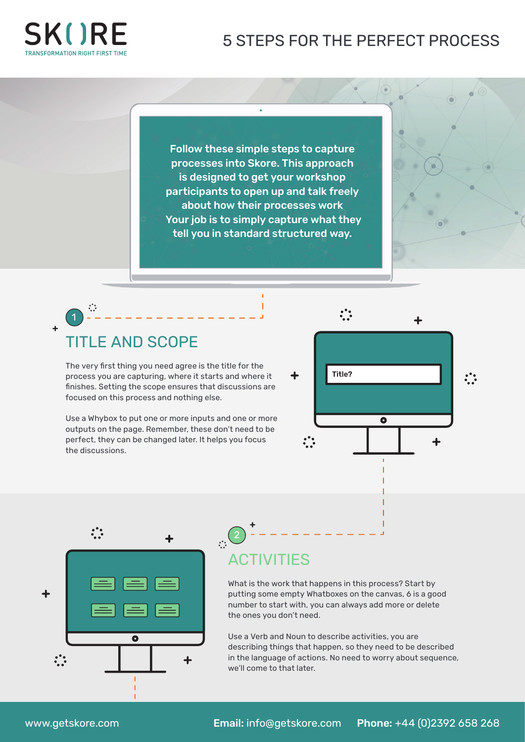#### 5 STEPS FOR THE PERFECT PROCESS



1

 $\ddot{\cdot}$ 

Follow these simple steps to capture processes into Skore. This approach is designed to get your workshop participants to open up and talk freely about how their processes work Your job is to simply capture what they tell you in standard structured way.

## TITLE AND SCOPE

The very first thing you need agree is the title for the process you are capturing, where it starts and where it finishes. Setting the scope ensures that discussions are focused on this process and nothing else.

Use a Whybox to put one or more inputs and one or more outputs on the page. Remember, these don't need to be perfect, they can be changed later. It helps you focus the discussions.





## **ACTIVITIES**

2

What is the work that happens in this process? Start by putting some empty Whatboxes on the canvas, 6 is a good number to start with, you can always add more or delete the ones you don't need.

Use a Verb and Noun to describe activities, you are describing things that happen, so they need to be described in the language of actions. No need to worry about sequence, we'll come to that later.